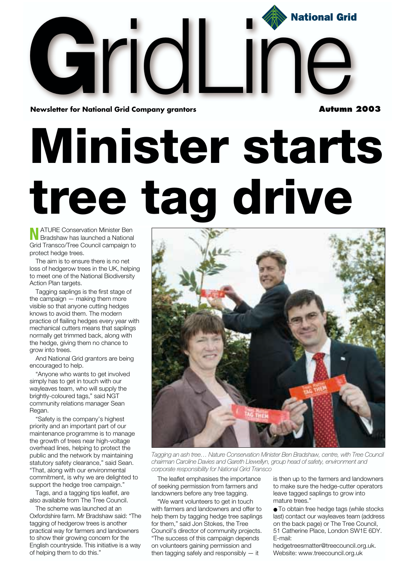

**Minister starts tree tag drive**

**N** ATURE Conservation Minister Ben<br>Bradshaw has launched a National Grid Transco/Tree Council campaign to protect hedge trees.

The aim is to ensure there is no net loss of hedgerow trees in the UK, helping to meet one of the National Biodiversity Action Plan targets.

Tagging saplings is the first stage of the campaign — making them more visible so that anyone cutting hedges knows to avoid them. The modern practice of flailing hedges every year with mechanical cutters means that saplings normally get trimmed back, along with the hedge, giving them no chance to grow into trees.

And National Grid grantors are being encouraged to help.

"Anyone who wants to get involved simply has to get in touch with our wayleaves team, who will supply the brightly-coloured tags," said NGT community relations manager Sean Regan.

"Safety is the company's highest priority and an important part of our maintenance programme is to manage the growth of trees near high-voltage overhead lines, helping to protect the public and the network by maintaining statutory safety clearance," said Sean. "That, along with our environmental commitment, is why we are delighted to support the hedge tree campaign."

Tags, and a tagging tips leaflet, are also available from The Tree Council.

The scheme was launched at an Oxfordshire farm. Mr Bradshaw said: "The tagging of hedgerow trees is another practical way for farmers and landowners to show their growing concern for the English countryside. This initiative is a way of helping them to do this."



*Tagging an ash tree… Nature Conservation Minister Ben Bradshaw, centre, with Tree Council chairman Caroline Davies and Gareth Llewellyn, group head of safety, environment and corporate responsibility for National Grid Transco*

The leaflet emphasises the importance of seeking permission from farmers and landowners before any tree tagging.

"We want volunteers to get in touch with farmers and landowners and offer to help them by tagging hedge tree saplings for them," said Jon Stokes, the Tree Council's director of community projects. "The success of this campaign depends on volunteers gaining permission and then tagging safely and responsibly — it

is then up to the farmers and landowners to make sure the hedge-cutter operators leave tagged saplings to grow into mature trees."

● To obtain free hedge tags (while stocks last) contact our wayleaves team (address on the back page) or The Tree Council, 51 Catherine Place, London SW1E 6DY. E-mail:

hedgetreesmatter@treecouncil.org.uk. Website: www.treecouncil.org.uk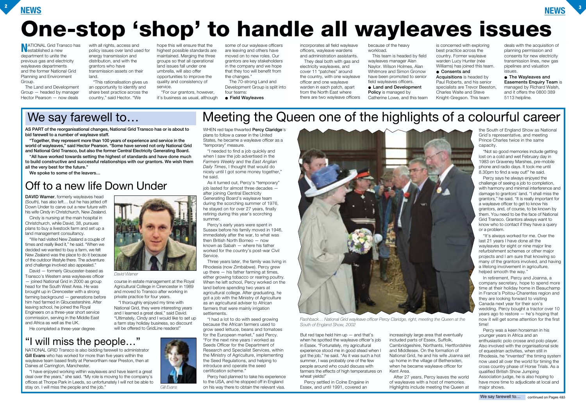## **NEWS <sup>2</sup>**



# **One-stop 'shop' to handle all wayleaves issues**

**NATIONAL Grid Transco has<br>
established a new** department to unite the previous gas and electricity wayleaves departments and the former National Grid Planning and Environment Group.

The Land and Development Group — headed by manager Hector Pearson — now deals

with all rights, access and policy issues over land used for energy transmission and distribution, and with the grantors who have transmission assets on their land.

"This rationalisation gives us an opportunity to identify and share best practice across the country," said Hector. "We

hope this will ensure that the highest possible standards are maintained. Merging the three groups so that all operational land issues fall under one umbrella, will also offer opportunities to improve the quality and consistency of service.

"For our grantors, however, it's business as usual, although

some of our wayleave officers are leaving and others have moved on to new roles. Our grantors are key stakeholders in the company and we hope that they too will benefit from the changes."

The 70-strong Land and Development Group is split into four teams:

● **Field Wayleaves**

incorporates all field wayleave officers, wayleave wardens and administration assistants.

They deal both with gas and electricity wayleaves, and cover 11 "patches" around the country, with one wayleave officer and one wayleave warden in each patch, apart from the North East where there are two wayleave officers because of the heavy workload.

But red tape held him up  $-$  and that's when he spotted the wayleave officer's job in Essex. "Fortunately, my agricultural experience stood me in good stead when I got the job," he said. "As it was such a hot summer, I was probably one of the few people around who could discuss with farmers the effects of high temperatures on wheat yields!"

This team is headed by field wayleaves manager Alan Naylor. Wilson Holmes, Alan Whitmore and Simon Gronow have been promoted to senior field wayleaves officers. ● **Land and Development Policy** is managed by Catherine Lowe, and this team

## We say farewell to...

is concerned with exploring best practice across the country. Former wayleave warden Lucy Hunter (née Williams) has joined this team. ● **Consents and**

**Acquisitions** is headed by Paul Roberts, and his senior specialists are Trevor Beeston, Charles Waite and Steve Knight-Gregson. This team

deals with the acquisition of planning permission and consents for new electricity transmission lines, new gas pipelines and valuation issues.

● **The Wayleaves and Easements Enquiry Team** is managed by Richard Walsh, and it offers the 0800 389 5113 helpline.

**AS PART of the reorganisational changes, National Grid Transco has or is about to bid farewell to a number of wayleave staff.** 

**"Together, they represent more than 100 years of experience and service in the world of wayleaves," said Hector Pearson. "Some have served not only National Grid and National Grid Transco, but also the former Central Electricity Generating Board.**

**"All have worked towards setting the highest of standards and have done much to build constructive and successful relationships with our grantors. We wish them all the very best for the future."**

**We spoke to some of the leavers…**

Percy settled in Colne Engaine in Essex, and until 1991, covered an

increasingly large area that eventually included parts of Essex, Suffolk, Cambridgeshire, Northants, Hertfordshire and Middlesex. On the formation of National Grid, he and his wife Joanna set up home in the village of Bethersden, when he became wayleave officer for Kent Area.

After 27 years, Percy leaves the world of wayleaves with a host of memories. Highlights include meeting the Queen at

the South of England Show as National Grid's representative, and meeting Prince Charles twice in the same capacity.

"Not so good memories include getting lost on a cold and wet February day in 1983 on Graveney Marshes, pre-mobile phone and radio days. It took me until 8.30pm to find a way out!" he said.

Percy says he always enjoyed the challenge of seeing a job to completion, with harmony and minimal interference and damage to grantors' land. "I shall miss the grantors," he said. "It is really important for a wayleave officer to get to know his grantors, and, of course, to be known by them. You need to be the face of National Grid Transco. Grantors always want to know who to contact if they have a query or a problem.

"I thoroughly enjoyed my time with National Grid, they were interesting years and I learned a great deal," said David. "Ultimately, Cindy and I would like to set up a farm stay holiday business, so discount will be offered to GridLine readers!"

"It's always worked for me. Over the last 21 years I have done all the wayleaves for eight or nine major line refurbishment schemes or other major projects and I am sure that knowing so many of the grantors involved, and having a lifelong involvement in agriculture, helped smooth the way."

In retirement, Percy and Joanna, a company secretary, hope to spend more time at their holiday home in Beauchamp in France's Poitou-Charentes region and they are looking forward to visiting Canada next year for their son's wedding. Percy bought a tractor over 10 years ago to restore — he's hoping that now it will get some attention for the first time!

Percy was a keen horseman in his younger years in Africa and an enthusiastic polo crosse and polo player. Also involved with the organisational side of equestrian activities, when still in Rhodesia, he "invented" the timing system now used all over the world for timing the cross country phase of Horse Trials. As a qualified British Show Jumping Association judge, he is also hoping to have more time to adjudicate at local and major shows.

*Flashback… National Grid wayleave officer Percy Claridge, right, meeting the Queen at the South of England Show, 2002*

## Off to a new life Down Under

## "I will miss the people…"

# Meeting the Queen one of the highlights of a colourful career

WHEN red tape thwarted **Percy Claridge**'s plans to follow a career in the United States, he became a wayleave officer as a "temporary" measure.

"I needed to find a job quickly and when I saw the job advertised in the *Farmers Weekly* and the *East Anglian Daily Times*, I thought that would do nicely until I got some money together,"

# he said.

As it turned out, Percy's "temporary" job lasted for almost three decades after joining Central Electricity Generating Board's wayleave team during the scorching summer of 1976, he stayed on for over 27 years, finally retiring during this year's scorching summer.

Percy's early years were spent in Sussex before his family moved in 1946, immediately after the war, to what was then British North Borneo — now known as Sabah — where his father worked for the country's post-war Civil Service.

Three years later, the family was living in Rhodesia (now Zimbabwe). Percy grew up there — his father farming at times, either growing tobacco or rearing poultry. When he left school, Percy worked on the land before spending two years at agricultural college. After graduating, he got a job with the Ministry of Agriculture as an agricultural adviser to African farmers that were mainly irrigation settlements.

"I had a lot to do with seed growing because the African farmers used to grow seed lettuce, beans and tomatoes for the European market," said Percy. "For the next nine years I worked as Seeds Officer for the Department of Research and Specialist Services, within the Ministry of Agriculture, implementing the Seed Regulations, and helping to introduce and operate the seed certification scheme."

Percy had planned to take his experience to the USA, and he stopped off in England on his way there to obtain the relevant visa.



**DAVID Warner**, formerly wayleaves head (South), has also left… but he has jetted off Down Under to carve out a new future with his wife Cindy in Christchurch, New Zealand.

Cindy is nursing at the main hospital in Christchurch, while David, 38, pursues plans to buy a livestock farm and set up a land management consultancy.

"We had visited New Zealand a couple of times and really liked it," he said. "When we decided we wanted to buy a farm, we felt New Zealand was the place to do it because of the outdoor lifestyle there. The adventure and challenge involved also appealed."

David — formerly Gloucester-based as Transco's Western area wayleaves officer — joined National Grid in 2000 as group head for the South West Area. He was brought up in Cirencester with a strong farming background — generations before him had farmed in Gloucestershire. After leaving school, he joined the Royal Engineers on a three-year short service commission, serving in the Middle East and Africa as well as the UK.

He completed a three-year degree

course in estate management at the Royal Agricultural College in Cirencester in 1989 and moved to Transco after working in private practice for four years.

NATIONAL GRID Transco is also bidding farewell to administrator **Gill Evans** who has worked for more than five years within the wayleave team based firstly at Penwortham near Preston, then at Daines at Carrington, Manchester.

"I have enjoyed working within wayleaves and have learnt a great deal over the years," she said. "My role is moving to the company's offices at Thorpe Park in Leeds, so unfortunately I will not be able to stay on. I will miss the people and the job."



*Gill Evans*

*David Warner*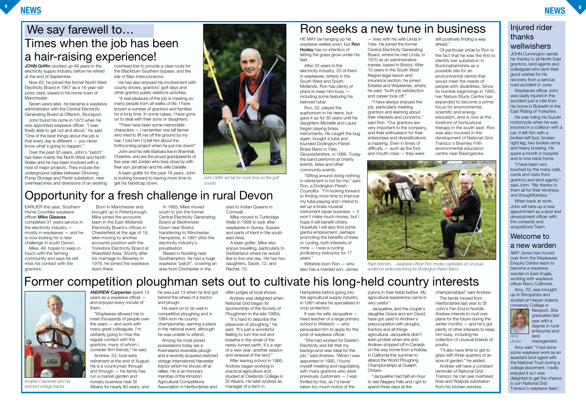### **NEWS <sup>4</sup>**

### **NEWS <sup>5</sup>**

EARLIER this year, Southern Home Counties wayleave officer **Mike Gleaves** completed 31 years service in the electricity industry mostly in wayleaves — and he is now looking for a new challenge in south Devon. Mike, 49, hopes to keep in

touch with the farming community and says he will miss his contact with the grantors.

east to Indian Queens in **Cornwall** 

Born in Manchester and brought up in Peterborough, Mike joined the accounts team in the East Midlands Electricity Board's offices in Chesterfield at the age of 18, later moving to another accounts position with the Yorkshire Electricity Board at Wakefield Area. Shortly after his marriage to Beverley in 1978, he joined the wayleave team there.

In 1985, Mike moved south to join the former Central Electricity Generating Board at Bedminster Down near Bristol, transferring to Winchester, Hampshire, in 1991 after the electricity industry's privatisation.

Based in Nursling near Southampton, he had a huge wayleave "patch", covering an area from Chichester in the

Mike moved to Tunbridge Wells in 1998 to look after wayleaves in Surrey, Sussex and parts of Kent in the south east Area.

A keen golfer, Mike also enjoys travelling, particularly to Switzerland where he would like to live one day. He has two daughters, Sarah, 12, and Rachel, 10.

**ANDREW Carpenter** spent 13 years as a wayleave officer and enjoyed every minute of them.

**JOHN Griffin** clocked up 46 years in the electricity supply industry before he retired at the end of September.

> "Wayleaves allowed me to meet thousands of people over the years — and work with many great colleagues. I'm certainly going to miss the regular contact with the grantors, many of whom I consider firm friends," he said.

> Andrew, 53, took early retirement at the end of August. He is a countryman through and through — his family has run a market garden and nursery business near St Albans for nearly 80 years, and

he was just 13 when he first got behind the wheel of a tractor and plough.

He went on to do well in competitive ploughing and in 1984 won his county championship, earning a place in the national event, although he was unable to attend.

Among his most prized possessions today are a Kverneland reversible plough and a recently acquired restored vintage International Harvester tractor which he shows off at rallies. He is an honorary member of the Kimpton Agricultural Competitions Association in Hertfordshire and

## Times when the job has been a hair-raising experience! We say farewell to...

often judges at local shows. Andrew was delighted when National Grid began its sponsorship of the Society of Ploughmen in the late 1990s.

"It's hard to describe the pleasures of ploughing," he said. "It's just a wonderful feeling to turn the soil and breathe in the smell of the newly-turned earth. It's a sign of a new year, another season and renewal of the land."

After leaving school in 1966, Andrew began working in practical agriculture and studied at Oaklands College in St Albans. He later worked as manager of a farm in

Now 62, he joined the former North West Electricity Board in 1957 as a 16-year-old junior clerk, based in his home town of Manchester.

Seven years later, he became a wayleave administrator with the Central Electricity Generating Board at Offerton, Stockport.

John found his niche in 1973 when he was appointed wayleave officer. "I was finally able to get out and about," he said. "One of the best things about the job is that every day is different — you never know what's going to happen."

Over the past 30 years, John's "patch" has been mainly the North West and North Wales and he has been involved with a host of major projects. They include the underground cables between Dinorwig Pump Storage and Pentir substation, new overhead lines and diversions of an existing overhead line to provide a clear route for the Blackburn Southern bypass, and the Isle of Man Interconnector.

He has also enjoyed his involvement with county shows, grantors' golf days and other grantor public relations activities.

"A real pleasure of the job is meeting so many people from all walks of life. I have known a number of grantors and families for a long time. In some cases, I have gone on to deal with their sons or daughters.

"There have been some memorable characters — I remember one tall farmer who tried to lift me off the ground by my hair. I told him I'd tell him about the forthcoming project when he put me down!"

John and his wife Barbara live in Bramhall, Cheshire, and are the proud grandparents of five-year-old Jordan who lives close by with their son Jonathan and his wife Danielle.

A keen golfer for the past 18 years, John is looking forward to having more time to get his handicap down.

## Opportunity for a fresh challenge in rural Devon

# Former competition ploughman sets out to cultivate his long-held country interests



HE MAY be hanging up his wayleave wellies soon, but **Ron Hodey** has no intention of letting the grass grow under his feet.

After 33 years in the electricity industry, 23 of them in wayleaves, latterly in the South West and South Midlands, Ron has plenty of plans to keep him busy including some featuring his beloved tuba!

Ron, 52, played the euphonium in his teens, but gave it up for 30 years until his daughters Michelle and Laura began playing brass instruments. He caught the bug again, bought a tuba and founded Dodington Parish Brass Band in Yate, Gloucestershire, in 1996. Today the band performs at charity events, fetes and other community events.

"Sitting around doing nothing in retirement is not for me," said Ron, a Dodington Parish Councillor. "I'm looking forward to finding more time to improve my tuba playing and I intend to set up a brass musical instrument repair business — it won't make much money, but I hope it will benefit others. Hopefully I will also find some gainful employment, perhaps promoting the benefits of trees or cycling, both interests of mine — I was a cycling proficiency instructor for 17 years."

Wiltshire-born Ron — who also has a married son, James

— lives with his wife Linda in Yate. He joined the former Central Electricity Generating Board, where he met Linda, in 1970 as an administrative trainee, based in Bristol. After 10 years in the South West Region legal liaison and insurance section, he joined Estates and Wayleaves, where, he said, "both job satisfaction and career took off."

"I have always enjoyed the job, particularly meeting grantors and learning about their interests and concerns," said Ron. "Our grantors are very important to the company, and their enthusiasm for their enterprises and diversifications is inspiring. Even in times of difficulty — such as the foot and mouth crisis — they were



still positively finding a way ahead."

Of particular pride to Ron is the fact that he was the first to identify Iver substation in Buckinghamshire as a possible site for an environmental centre that would meet the needs of people with disabilities. Since its humble beginnings in 1990, Iver Nature Study Centre has expanded to become a prime focus for environmental, scientific and energy education, and is now at the forefront of horticultural therapy in the south east. Ron was also involved in the development of National Grid Transco's Bramley Frith environmental education centre near Basingstoke.

*Rapt listeners… wayleave officer Ron Hodey captivates an unusual audience while practising for Dodington Parish Band*



*Andrew Carpenter and his restored vintage tractor*

*John Griffin set fair for more time on the golf*

*course*

JOHN Cunnington sends his thanks to all North East grantors, land agents and colleagues who sent their good wishes for his recovery from a serious road accident in June.

Wayleaves officer John was badly injured in the accident just a mile from his home in Bubwith in the East Riding of Yorkshire.

He was riding his Suzuki motorcycle when he was involved in a collision with a car; it left him with a broken left foot, broken right leg, two broken arms and heavy bruising. He spent a month in hospital and is now back home.

"I have been very touched by the many calls, cards and visits from grantors and land agents," said John. "My thanks to them all for their kindness and thoughtfulness. "

When back at work, John will take up a new appointment as a land and development officer with the consents and acquisitions Team.

AMY Jones has moved over from the Wayleaves Enquiry Centre team to become a wayleave warden in East Anglia, working with wayleave officer Barry Cullimore.

Amy, 23, was brought up in Shropshire and studied at Harper Adams University College in



Newport. She graduated last year with a degree in rural enterprise and land

management.

Amy said: "I had done some wayleave work as an assistant land agent with the National Trust during a college placement. I really enjoyed it so I was delighted to get the chance to join National Grid Transco's wayleave team."

### Welcome to a new warden

### Injured rider thanks wellwishers

*Amy Jones*

Hampshire before going into the agricultural supply industry in 1981 where he specialised in crop protection.

It was his wife Jacqueline head teacher of a large primary school in Wisbech — who persuaded him to apply for the post of wayleave officer.

"She had worked for Eastern Electricity and felt that my background was ideal for the job," said Andrew. "When I was appointed in 1990, I found myself meeting and negotiating with many grantors who were previously customers — I was thrilled by this, as I'd never taken too much notice of the

pylons in their fields before. My agricultural experience came in very useful."

Jacqueline, and the couple's daughter Grace and son David, have got used to Andrew's preoccupation with ploughs, tractors and all things agricultural. Jacqueline didn't even protest when she and Andrew stopped off in Canada on the way home from a holiday in California this summer to attend the World Ploughing Championships at Guelph, Ontario.

"Jacqueline had half-an-hour to see Niagara Falls and I got to spend three days at the

championships!" said Andrew. The family moved from Hertfordshire last year to St John's Fen End in Norfolk. Andrew intends to mull over plans for the future during the winter months — and he's got plenty of other interests to keep him busy, including his collection of unusual breeds of

poultry.

"I'll also have time to get to grips with three quarters of an acre of garden," he added. Andrew will have a constant reminder of National Grid Transco; he can see overhead lines and Walpole substation from his kitchen window.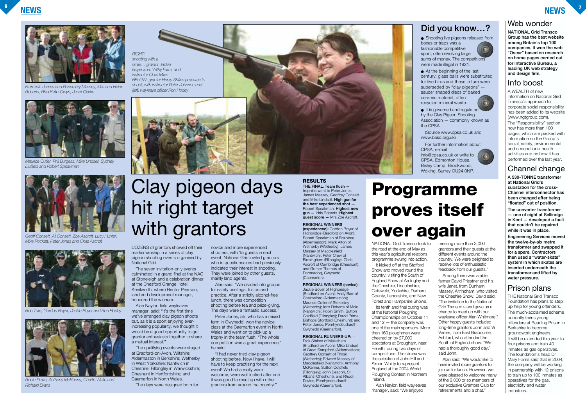**NEWS <sup>6</sup>**



### Web wonder

**NATIONAL Grid Transco Group has the best website among Britain's top 100 companies. It won the web "Oscar" based on research on home pages carried out for Interactive Bureau, a leading UK web strategy and design firm.**

### Info boost

A WEALTH of new information on National Grid Transco's approach to corporate social responsibility has been added to its website (www.ngtgroup.com). The "Responsibility" section now has more than 100 pages, which are packed with information on the Group's social, safety, environmental and occupational health activities and on how it has performed over the last year.

### Channel change

**A 530-TONNE transformer at National Grid's substation for the cross-Channel interconnector has been changed after being "floated" out of position.**

**The converter transformer — one of eight at Sellindge in Kent — developed a fault that couldn't be repaired while it was in place. Engineering Services moved the twelve-by-six metre transformer and swapped it for a spare. Contractors then used a "water-skate" system in which skates are inserted underneath the transformer and lifted by water pressure.**

### Prison plans

THE National Grid Transco Foundation has plans to step up help for young offenders. The much-acclaimed scheme currently trains young offenders at Reading Prison in Berkshire to become groundwork engineers. It will be extended this year to four prisons and train 40 inmates as gas operatives. The foundation's head Dr Mary Harris said that in 2004, the company will be working in partnership with 12 prisons to train up to 100 inmates as operatives for the gas, electricity and water industries.

### **Did you know…?**

boxes or traps was a fashionable competitive

- Shooting live pigeons released from
	-
- sport, often involving large
- sums of money. The competitions were made illegal in 1921.
- At the beginning of the last century, glass balls were substituted for live birds and these in turn were superseded by "clay pigeons" -
- saucer shaped discs of baked
- recycled mineral waste.
- It is governed and regulated by the Clay Pigeon Shooting Association — commonly known as
- (Source www.cpsa.co.uk and
- For further information about
- info@cpsa.co.uk or write to CPSA, Edmonton House, Bisley Camp, Brookwood, Woking, Surrey GU24 0NP.



ceramic material, often

the CPSA.

www.basc.org.uk)

CPSA, e-mail

Alan said: "We divided into groups for safety briefings, tuition and practice. After a strictly alcohol-free lunch, there was competition shooting before tea and prize-giving. The days were a fantastic success."

### **RESULTS**

**THE FINAL: Team flush**  trophies went to Peter Jones, James Massey, Geoffrey Consett and Mike Lindsell. **High gun for the best experienced shot —** Robert Speakman. **Highest new gun —** Idris Roberts. **Highest guest score —** Mrs Zoe Ascroft.

### **REGIONAL WINNERS**

**(experienced):** Gordon Boyer of Highbridge (Bradford on Avon); Robert Speakman of Braintree (Aldermaston); Mark Alton of Wetherby (Wetherby); James Massey of Macclesfield (Nantwich); Peter Crew of Birmingham (Fillongley); Chris Ascroft of Cambridge (Cheshunt); and Gomer Thomas of Portmadog, Gwynedd (Caernarfon).

### **REGIONAL WINNERS (novice):**

Jackie Boyer of Highbridge (Bradford on Avon); Andy Barr of Chelmsford (Aldermaston); Maurice Cutler of Stokesley (Wetherby); Idris Roberts of Mold (Nantwich); Robin Smith, Sutton Coldfield (Fillongley); David Prime, Bishops Stortford (Cheshunt); and Peter Jones, Penrhyndeudraeth, Gwynedd (Caernarfon).

### **REGIONAL RUNNERS-UP:** —

Dick Stainer of Melksham (Bradford on Avon); Mike Lindsell of Great Sampford (Aldermaston); Geoffrey Consett of Thirsk (Wetherby); Edward Massey of Macclesfield (Nantwich); Anthony McKenna, Sutton Coldfield (Fillongley); John Deacon, St Albans (Cheshunt); and Rhodri Davies, Penrhyndeudraeth, Gwynedd (Caernarfon).

DOZENS of grantors showed off their marksmanship in a series of clay pigeon shooting events organised by National Grid.

The seven invitation-only events culminated in a grand final at the NAC at Stoneleigh and a celebration dinner at the Chesford Grange Hotel, Kenilworth, where Hector Pearson, land and development manager, honoured the winners.

Alan Naylor, field wayleaves manager, said: "It's the first time we've arranged clay pigeon shoots but, as it is a sport enjoying everincreasing popularity, we thought it would be a good opportunity to get grantor enthusiasts together to share a mutual interest."

The qualifying events were staged at Bradford-on-Avon, Wiltshire; Aldermaston in Berkshire; Wetherby in West Yorkshire; Nantwich in Cheshire; Fillongley in Warwickshire; Cheshunt in Hertfordshire; and Caernarfon in North Wales.

The days were designed both for

novice and more experienced shooters, with 15 guests in each event. National Grid invited grantors who in questionnaires had previously indicated their interest in shooting. They were joined by other quests, mainly land agents.

Peter Jones, 55, who has a mixed farm in Gwynedd, won the novice class at the Caernarfon event in North Wales and went on to pick up a trophy in the team flush. "The whole competition was a great experience," he said.

"I had never tried clay pigeon shooting before. Now I have, I will have to keep practising for the next event! We had a really warm welcome, were well looked after and it was good to meet up with other grantors from around the country."

# Clay pigeon days hit right target with grantors

*RIGHT: shooting with a smile… grantor Jackie Boyer from Withy Farm, and instructor Chris Miles BELOW: grantor Henry Shilles prepares to shoot, with instructor Peter Johnson and (left) wayleave officer Ron Hodey*



# **Programme proves itself over again**

NATIONAL Grid Transco took to the road at the end of May as this year's agricultural relations programme swung into action.

It kicked off at the Stafford Show and moved round the country, visiting the South of England Show at Ardingley and the Cheshire, Lincolnshire, Cotswold, Yorkshire, Durham County, Lancashire, and New Forest and Hampshire Shows.

Its tenth and final outing was at the National Ploughing Championships on October 11 and 12 — the company was one of the main sponsors. More than 160 ploughmen were cheered on by 27,000 spectators at Brougham, near Penrith, during two days of competitions. The climax was the selection of John Hill and Simon Whitty to represent England at the 2004 World Ploughing Contest in Northern Ireland.

Alan Naylor, field wayleaves manager, said: "We enjoyed

meeting more than 3,000 grantors and their guests at the different events around the country. We were delighted to receive lots of enthusiastic feedback from our guests." Among them was arable farmer David Priestner and his wife Janet, from Dunham Massey, Altrincham, who visited the Cheshire Show. David said: "The invitation to the National Grid Transco stand gave us a chance to meet up with our wayleave officer Alan Whitmore." Other happy guests included long-time grantors John and Vi Varrier, from East Brabourne, Ashford, who attended the South of England show. "We had a thoroughly good day," said John.

Alan said: "We would like to have invited more grantors to join us for lunch. However, we were pleased to welcome many of the 3,000 or so members of our exclusive Grantors Club for refreshments and a chat."



*Robin Smith, Anthony McKenna, Charlie Waite and Richard Evans*



*From left: James and Rosemary Massey, Idris and Helen Roberts, Rhodri Ap-Gwyn, Janet Clarke*



*Maurice Cutler, Phil Burgess, Mike Lindsell, Sydney Duffield and Robert Speakman*



*Geoff Consett, Ali Consett, Zoe Ascroft, Lucy Hunter, Mike Rockett, Peter Jones and Chris Ascroft*



*Bob Tute, Gordon Boyer, Jackie Boyer and Ron Hodey*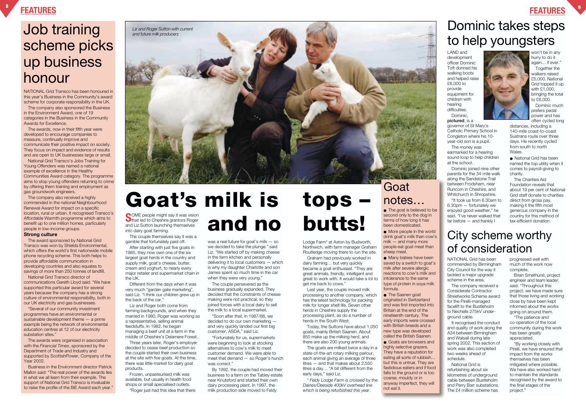**FEATURES <sup>9</sup>**

**S**OME people might say it was vision<br>that led to Cheshire grantors Roger and Liz Sutton launching themselves into dairy goat farming.

The couple themselves say it was a gamble that fortunately paid off. After starting with just five goats in

1985, they now own one of the six largest goat herds in the country and supply milk, goat's cheese, butter, cream and yoghurt, to nearly every major retailer and supermarket chain in the UK.

Different from the days when it was very much "garden gate marketing", said Liz. "I think our children grew up in the back of the car."

Liz and Roger both come from farming backgrounds, and when they married in 1980, Roger was working as a representative, selling animal feedstuffs. In 1982, he began managing a beef unit at a farm in the middle of Cheshire's Delamere Forest.

Three years later, Roger's employer decided to cease beef production so the couple started their own business at the site with five goats. At the time, there was little market for dairy goat products.

Frozen, unpasteurised milk was available, but usually in health food shops or small specialised outlets.

"Roger just had this idea that there

# and **and the second only to the dog in**<br>terms of how long it has the before – and frankly law-efficient donation.<br>The More people in the world drink goat's milk than cow's City Scheme Worthy

was a real future for goat's milk — so we decided to take the plunge." said Liz. "We started off by making cheese in the farm kitchen and personally delivering it to local customers — which is why my daughter Charlotte and son James spent so much time in the car when they were very young."

The couple persevered as the business gradually expanded. They decided that the constraints of cheese making were not practical, so they joined forces with a local dairy to sell the milk to a local supermarket.

"Soon after that, in 1987/88, we decided to do our own marketing and very quickly landed our first big customer, ASDA," said Liz.

"Fortunately for us, supermarkets were beginning to look at stocking alternatives to cow's milk to meet customer demand. We were able to meet that demand — so Roger's hunch was correct."

By 1992, the couple had moved their business to a farm on the Tabley estate near Knutsford and started their own dairy processing plant. In 1997, the milk production side moved to Feldy

Lodge Farm\* at Aston by Budworth, Northwich, with farm manager Graham Routledge moving there to run the site.

Graham had previously worked in dairy farming… but very quickly became a goat enthusiast. "They are great animals, friendly, intelligent and great to work with. It would take a lot to get me back to cows."

"Several of our community investment programmes have an environmental or sustainable development theme — a prime example being the network of environmental education centres at 12 of our electricity substation sites."

Last year, the couple moved milk processing to another company, which has the latest technology for packing milk for longer shelf life. Seven other herds in Cheshire supply the processing plant, as do a number of herds in the South West.

Today, the Suttons have about 1,050 goats, mainly British Saanen. About 850 make up the milking herd, and there are also 200 young animals.

The goats are milked twice a day in a state-of-the-art rotary milking parlour, each animal giving an average of three litres — and that makes about 2,550 litres a day… "A bit different from the early days," said Liz.

Dominic joined nine other parents for the 34-mile walk along the Sandstone Trail between Frodsham, near Runcorn in Cheshire, and Whitchurch in Shropshire.

*\* Feldy Lodge Farm is crossed by the Daines/Deeside 400kV overhead line which is being refurbished this year*.

distances, including a 140-mile coast-to-coast Sustrans route over three days. He recently cycled from south to north **Wales** 

NATIONAL Grid Transco has been honoured in this year's Business in the Community's award scheme for corporate responsibility in the UK.

> ● National Grid has been named the top utility when it comes to payroll-giving to charity.

The company also sponsored the Business in the Environment Award, one of 19 categories in the Business in the Community Awards for Excellence.

# **Goat** notes…

The awards, now in their fifth year were developed to encourage companies to measure, continually improve and communicate their positive impact on society. They focus on impact and evidence of results and are open to UK businesses large or small.

> ● Many babies have been saved by a switch to goat's milk after severe allergic reactions to cow's milk and intolerance to the same type of protein in soya milk formula.

National Grid Transco's Jobs Training for Young Offenders was named a national example of excellence in the Healthy Communities Award category. The programme aims to stop young offenders returning to crime by offering them training and employment as gas groundwork engineers.

The company also received a highly commended in the national Neighbourhood Renewal Award for impact on a specific location, rural or urban. It recognised Transco's Affordable Warmth programme which aims to benefit up to one million homes, particularly people in low-income groups.

### **Strong culture**

The award sponsored by National Grid Transco was won by Shields Environmental, which offers the world's first nationwide mobile phone recycling scheme. This both helps to provide affordable communication in developing countries and also equates to savings of more than 250 tonnes of landfill.

National Grid Transco director of communications Gareth Lloyd said: "We have supported this particular award for several years because the company has a strong culture of environmental responsibility, both in our UK electricity and gas businesses.

The awards were organised in association with the *Financial Times*, sponsored by the Department of Trade and Industry and supported by ScottishPower, Company of the Year 2002.

Business in the Environment director Patrick Mallon said: "The real power of the awards lies in what we all learn from their example. The support of National Grid Transco is invaluable to raise the profile of the BiE Award each year."

LAND and development officer Dominic Toft donned his walking boots and helped raise £6,000 to provide equipment for children with hearing difficulties. Dominic,



**pictured**, is a governor of St Mary's Catholic Primary School in Congleton where his 10 year-old son is a pupil.

The money was earmarked for a hearing sound loop to help children at the school.

"It took us from 6.30am to 6.30pm — fortunately we enjoyed good weather," he said. "I've never walked that far before — and frankly I

won't be in any hurry to do it again… if ever."

Together the walkers raised £5,000. National Grid topped it up with £1,000, bringing the total to £6,000.

Dominic much prefers pedal power and has often cycled long

The Charities Aid Foundation reveals that about 19 per cent of National Grid staff donate to charities direct from gross pay, making it the fifth most generous company in the country for this method of tax-efficient donation.

# Job training scheme picks up business honour

# Dominic takes steps to help youngsters

# **Goat's milk is tops –**

● The goat is believed to be second only to the dog in terms of how long it has been domesticated.

● More people in the world drink goat's milk than cow's milk — and many more people eat goat meat than sheep meat.

● The Saanen goat originated in Switzerland and was first imported into Britain at the end of the nineteenth century. The early imports were crossed with British breeds and a new type was developed called the British Saanen.

● Goats are browsers and highly selective grazers. They have a reputation for eating all sorts of rubbish… but this is untrue. They are fastidious eaters and if food falls to the ground or is too coarse, mouldy or in anyway imperfect, they will not eat it.

# of consideration

NATIONAL Grid has been commended by Birmingham City Council for the way it tackled a major upgrade scheme in the area.

The company received a Considerate Contractor Streetworks Scheme award for the Pirelli-managed facelift to the Bustleholm to Nechells 275kV underground cable.

It recognised the conduct and quality of work along the A34 between Birmingham and Walsall during late spring 2002. This section of work was also completed two weeks ahead of schedule.

National Grid is refurbishing about six kilometres of underground cable between Bustleholm and Perry Barr substations. The £4 million scheme has

progressed well with much of the work now complete.

Brian Smethurst, project engineer and team leader, said: "Throughout this project, we have made sure that those living and working close by have been kept informed about the works going on around them.

"The patience and co-operation of the local community during the work has been greatly appreciated.

"By working closely with Pirelli, we have ensured that impact from the works themselves has been mitigated where possible. We have also worked hard to maintain the standards recognised by the award to the final stages of the project."

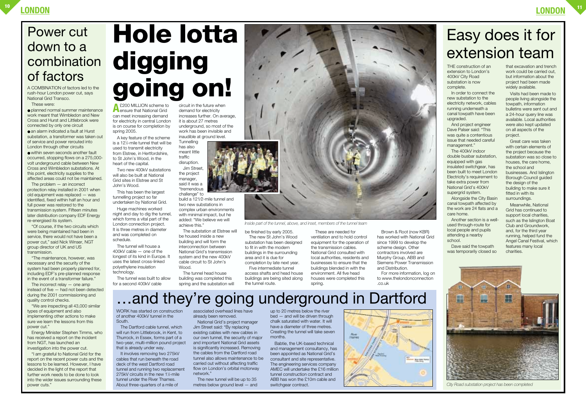**A**£200 MILLION scheme to ensure that National Grid can meet increasing demand for electricity in central London is on course for completion by spring 2005.

A key feature of the scheme is a 121 ⁄2-mile tunnel that will be used to transmit electricity from Elstree, in Hertfordshire, to St John's Wood, in the heart of the capital.

Two new 400kV substations will also be built at National Grid sites in Elstree and St John's Wood.

circuit in the future when demand for electricity increases further. On average, it is about 27 metres underground, so most of the work has been invisible and inaudible at ground level.

This has been the largest tunnelling project so far undertaken by National Grid. **Tunnelling** has also meant little traffic disruption. Jim Street,

Huge machines worked night and day to dig the tunnel, which forms a vital part of the London connection project. It is three metres in diameter and was completed on schedule.

The tunnel will house a 400kV cable — one of the longest of its kind in Europe. It uses the latest cross-linked polyethylene insulation technology.

The tunnel was built to allow for a second 400kV cable

the project manager, said it was a "tremendous

challenge" to build a 121⁄2-mile tunnel and two new substations in complex urban environments with minimal impact, but he added: "We believe we will achieve this."

The substation at Elstree will be housed inside a new building and will form the interconnection between National Grid's transmission system and the new 400kV cable circuit to St John's Wood.

The tunnel head house building was completed this spring and the substation will



be finished by early 2005. The new St John's Wood substation has been designed to fit in with the modern buildings in the surrounding area and it is due for completion by late next year.

Five intermediate tunnel access shafts and head house buildings are being sited along the tunnel route.

These are needed for ventilation and to hold control equipment for the operation of the transmission cables. National Grid consulted with local authorities, residents and businesses to ensure that the buildings blended in with the environment. All five head houses were completed this spring.

It involves removing two 275kV cables that run beneath the road deck of the west Dartford road tunnel and running two replacement 275kV circuits in the new 11 ⁄2-mile tunnel under the River Thames. About three-quarters of a mile of

Brown & Root (now KBR) has worked with National Grid since 1999 to develop the scheme design. Other contractors involved are Murphy Group, ABB and Siemens Power Transmission and Distribution.

For more information, log on to www.thelondonconnection .co.uk

THE construction of an extension to London's 400kV City Road substation is now complete.

In order to connect the new substation to the electricity network, cables running underneath a canal towpath have been upgraded.

And project engineer Dave Palser said: "This was quite a contentious issue that needed careful management."

The 400kV indoor double busbar substation, equipped with gas insulated switchgear, has been built to meet London Electricity's requirement to take extra power from National Grid's 400kV supergrid system.

● an alarm indicated a fault at Hurst substation, a transformer was taken out of service and power rerouted into London through other circuits

> Alongside the City Basin canal towpath affected by the work are 24 flats and a care home.

> Another section is a wellused through-route for local people and pupils attending a nearby school.

Dave said the towpath was temporarily closed so that excavation and trench work could be carried out, but information about the project had been made widely available.

Visits had been made to people living alongside the towpath, information bulletins were sent out and a 24-hour query line was available. Local authorities were also kept updated on all aspects of the project.

The incorrect relay – one amp instead of five — had not been detected during the 2001 commissioning and quality control checks.

Great care was taken with certain elements of the project because the substation was so close to houses, the care home, the school and businesses. And Islington Borough Council guided the design of the building to make sure it fitted in with its surroundings.

Meanwhile, National Grid has continued to support local charities, such as the Islington Boat Club and Groundwork, and, for the third year running, helped fund the Angel Canal Festival, which features many local charities.

WORK has started on construction of another 400kV tunnel in the South.

The Dartford cable tunnel, which will run from Littlebrook, in Kent, to Thurrock, in Essex, forms part of a two-year, multi-million pound project that is already under way.

associated overhead lines have already been removed.

National Grid's project manager Jim Street said: "By replacing existing cables with new cables in our own tunnel, the security of major and important National Grid assets is significantly increased. Removing the cables from the Dartford road tunnel also allows maintenance to be carried out without affecting traffic flow on London's orbital motorway network."

The new tunnel will be up to 35 metres below ground level — and

up to 20 metres below the river bed — and will be driven through chalk saturated with water. It will have a diameter of three metres. Creating the tunnel will take seven months.

Babtie, the UK-based technical and management consultancy, has been appointed as National Grid's consultant and site representative. The engineering services company AMEC will undertake the £16 million tunnel construction contract and ABB has won the £10m cable and switchgear contract.



*Inside part of the tunnel, above, and inset, members of the tunnel team*

# …and they're going underground in Dartford

# Easy does it for extension team

# Power cut down to a combination of factors



*City Road substation project has been completed*

A COMBINATION of factors led to the rush-hour London power cut, says National Grid Transco. These were:

● planned normal summer maintenance work meant that Wimbledon and New Cross and Hurst and Littlebrook were connected by only one circuit

● within seven seconds another fault occurred, stopping flows on a 275,000 volt underground cable between New Cross and Wimbledon substations. At this point, electricity supplies to the affected areas could not be maintained.

The problem — an incorrect protection relay installed in 2001 when old equipment was replaced — was identified, fixed within half an hour and full power was restored to the transmission system. Fifteen minutes later distribution company EDF Energy re-energised its system.

"Of course, if the two circuits which were being maintained had been in service, there would not have been a power cut," said Nick Winser, NGT group director of UK and US transmission.

"The maintenance, however, was necessary and the security of the system had been properly planned for, including EDF's pre-planned response in the event of a transformer failure."

"We are inspecting all 43,000 similar types of equipment and also implementing other actions to make sure we learn the lessons from this power cut."

Energy Minister Stephen Timms, who has received a report on the incident from NGT, has launched an investigation into the power cut.

"I am grateful to National Grid for the report on the recent power cuts and the lessons to be learned. However, I have decided in the light of the report that further work needs to be done to look into the wider issues surrounding these power cuts."

# **Hole lotta digging going on!**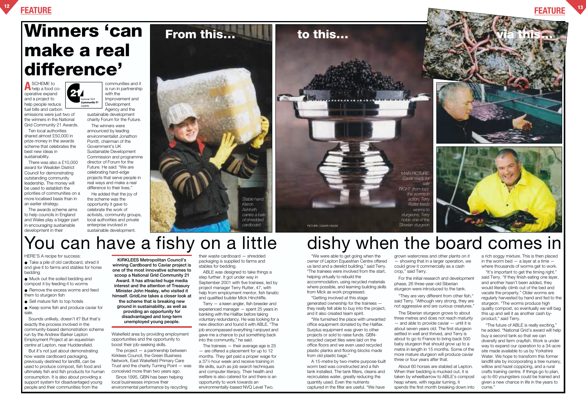## **FEATURE <sup>12</sup> FEATURE <sup>13</sup>**

# **Winners 'can**

# **make a real difference'**

National Grid

**A** SCHEME to help a food co-**27** operative expand and a project to help people reduce fuel bills and carbon emissions were just two of the winners in the National

Grid Community 21 Awards. Ten local authorities shared almost £50,000 in

prize money in the awards scheme that celebrates the best new ideas in sustainability.

communities and it is run in partnership with the Improvement and nmunity 21 Development Agency and the

There was also a £10,000 award for Wealden District Council for demonstrating outstanding community leadership. The money will be used to establish the priorities of communities on a more localised basis than in an earlier strategy.

The awards scheme aims to help councils in England and Wales play a bigger part in encouraging sustainable development in their

- Take a pile of old cardboard, shred it and give it to farms and stables for horse bedding
- Muck out the soiled bedding and compost it by feeding it to worms
- Remove the excess worms and feed them to sturgeon fish
- Sell mature fish to top hotels
- Keep some fish and produce caviar for sale.

sustainable development charity Forum for the Future.

The winners were announced by leading environmentalist Jonathon Porritt, chairman of the Government's UK Sustainable Development Commission and programme director of Forum for the Future. He said: "We are celebrating hard-edge projects that serve people in real ways and make a real difference to their lives."

He added that the joy of the scheme was the opportunity it gave to celebrate the work of activists, community groups, local authorities and private enterprise involved in sustainable development.

HERE'S A recipe for success:

Sounds unlikely, doesn't it? But that's exactly the process involved in the community-based demonstration scheme run by the Andrew Barker Lepton Employment Project at an equestrian centre at Lepton, near Huddersfield.

But it's not just about demonstrating how waste cardboard packaging, previously destined for landfill, can be used to produce compost, fish food and ultimately fish and fish products for human consumption. It is also about providing a support system for disadvantaged young people and their communities from the

Wakefield area by providing employment opportunities and the opportunity to boost their job-seeking skills.

The project — a partnership between Kirklees Council, the Green Business Network, East Wakefield Primary Care Trust and the charity Turning Point — was conceived more than two years ago.

Since 1995, GBN has been helping local businesses improve their environmental performance by recycling

their waste cardboard — shredded packaging is supplied to farms and stables for bedding.

ABLE was designed to take things a step further. It got under way in September 2001 with five trainees, led by project manager Terry Rutter, 47, with help from employment mentor, fish fanatic and qualified builder Mick Hinchliffe.

Terry — a keen angler, fish breeder and experienced manager — spent 25 years in banking with the Halifax before taking voluntary redundancy. He was looking for a new direction and found it with ABLE. "The job encompassed everything I enjoyed and gave me a chance to put something back into the community," he said.

The trainees — their average age is 25 — are offered a placement for up to 12 months. They get paid a proper wage for a 371 ⁄2-hour week and receive training in life skills, such as job search techniques and computer literacy. Their health and welfare is also catered for and there is an opportunity to work towards an environmentally-based NVQ Level Two.

"We were able to get going when the owner of Lepton Equestrian Centre offered us land and a derelict building," said Terry. "The trainees were involved from the start, helping virtually to rebuild the accommodation, using recycled materials where possible, and learning building skills

from Mick as work progressed. "Getting involved at this stage generated ownership for the trainees they really felt able to buy into the project,

and it also created team spirit. "We furnished the place with unwanted office equipment donated by the Halifax. Surplus equipment was given to other projects or sold to raise funds. GBNrecycled carpet tiles were laid on the office floors and we even used recycled plastic planks and flooring blocks made from old plastic bags."



A 15-metre by two-metre purpose-built worm bed was constructed and a fish tank installed. The tank filters, cleans and recirculates water, greatly reducing the quantity used. Even the nutrients captured in the filter are useful. "We have

grown watercress and other plants on it — showing that in a larger operation, we could grow it commercially as a cash crop," said Terry.

For the initial research and development phase, 26 three-year-old Siberian sturgeon were introduced to the tank.

"They are very different from other fish," said Terry. "Although very strong, they are not aggressive and are curious creatures."

The Siberian sturgeon grows to about

three metres and does not reach maturity — and able to provide caviar — until it is about seven years old. The first sturgeon settled in well and thrived, and Terry is about to go to France to bring back 500 baby sturgeon that should grow up to a metre in length in 15 months. Some of the more mature sturgeon will produce caviar three or four years after that.

About 60 horses are stabled at Lepton. When their bedding is mucked out, it is taken by wheelbarrow to ABLE's compost heap where, with regular turning, it spends the first month breaking down into

a rich soggy mixture. This is then placed in the worm bed  $-$  a layer at a time  $$ where thousands of worms get to work.

"It's important to get the timing right," said Terry. "If they finish eating one layer, and another hasn't been added, they would literally climb out of the bed and vacate the property." Older worms are regularly harvested by hand and fed to the sturgeon. "The worms produce high quality compost, so eventually we will bag this up and sell it as another cash byproduct," said Terry.

"The future of ABLE is really exciting," he added. "National Grid's award will help buy a second tank so that we can diversify and farm crayfish. Work is under way to expand our operation to a 34-acre site made available to us by Yorkshire Water. We hope to transform this former landfill site by incorporating a tree nursery, willow and hazel coppicing, and a rural crafts training centre. If things go to plan, up to 60 youngsters could be trained and given a new chance in life in the years to come."

**KIRKLEES Metropolitan Council's winning Cardboard to Caviar project is one of the most innovative schemes to scoop a National Grid Community 21 Award. It has attracted huge media interest and the attention of Treasury Minister John Healey, who visited it himself.** *GridLine* **takes a closer look at the scheme that is breaking new ground in sustainability, as well as providing an opportunity for**

**disadvantaged and long-term unemployed young people.**







# You can have a fishy on a little dishy when the board comes in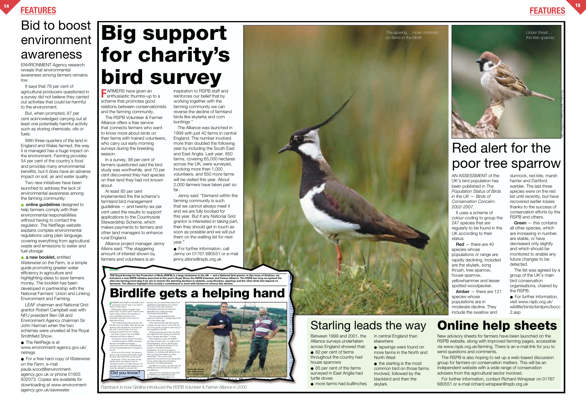## **FEATURES <sup>14</sup> FEATURES**

# Red alert for the poor tree sparrow

# Bid to boost **Big support for charity's bird survey**

# environment awareness

ENVIRONMENT Agency research reveals that environmental awareness among farmers remains low.

It says that 78 per cent of agricultural producers questioned in a survey did not believe they carried out activities that could be harmful to the environment.

But, when prompted, 87 per cent acknowledged carrying out at least one potentially harmful activity such as storing chemicals, oils or fuels.

**•** online guidelines designed to help farmers comply with their environmental responsibilities without having to contact the regulator. The NetRegs website explains complex environmental regulations using plain language, covering everything from agricultural waste and emissions to water and fuel storage

With three-quarters of the land in England and Wales farmed, the way it is managed has a huge impact on the environment. Farming provides 54 per cent of the country's food and provides many environmental benefits, but it does have an adverse impact on soil, air and water quality.

Two new initiatives have been launched to address the lack of environmental awareness among the farming community:

● The NetRegs is at www.environment-agency.gov.uk/ netregs

● **a new booklet,** entitled *Waterwise on the Farm,* is a simple guide promoting greater water efficiency in agriculture and highlighting ideas to save farmers money. The booklet has been developed in partnership with the National Farmers' Union and Linking Environment and Farming.

● For further information, visit www.rspb.org.uk/ wildlife/birds/birdprio/bocc 2.asp

LEAF chairman and National Grid grantor Robert Campbell was with NFU president Ben Gill and Environment Agency chairman Sir John Harman when the two schemes were unveiled at the Royal Smithfield Show.

**F**<br>**F** ARMERS have given an<br>enthusiastic thumbs-up to a scheme that promotes good relations between conservationists and the farming community.

● For a free hard copy of *Waterwise on the Farm*, e-mail paula.wood@environmentagency.gov.uk or phone 01903 832073. Copies are available for downloading at www.environmentagency.gov.uk/savewater

AN ASSESSMENT of the UK's bird population has been published in *The Population Status of Birds in the UK — Birds of Conservation Concern: 2002-2007*.

It uses a scheme of colour-coding to group the 247 species that are regularly to be found in the UK according to their status:

**Red** — there are 40 species whose populations or range are rapidly declining. Included are the skylark, song thrush, tree sparrow, house sparrow, yellowhammer and lesser spotted woodpecker.

**Amber** — there are 121 species whose populations are in moderate decline. They include the swallow and

● For further information, call Jenny on 01767 680551 or e-mail jenny.atkins@rspb.org.uk

THE Royal Society for the Protection of Birds (RSPB) is a large landowner in the UK — and a National Grid grantor. In this issue of Gr*idLine*, we<br>introduce a new RSPB initiative launched at this year's Royal Show, the RSP

## **Birdlife gets a helping hand**

in central England than ● lapwings were found on

dunnock, red kite, marsh harrier and Dartford warbler. The last three species were on the red list until recently, but have recovered earlier losses thanks to the success of conservation efforts by the RSPB and others.

**Green** — this contains all other species, which are increasing in number, are stable, or have decreased only slightly and which should be monitored to enable any future changes to be detected.

The list was agreed by a group of the UK's main bird conservation organisations, chaired by the RSPB.

The RSPB Volunteer & Farmer Alliance offers a free service that connects farmers who want to know more about birds on their farms with trained volunteers, who carry out early morning surveys during the breeding season.

> important habitat for a certain rare RSPB can work with farmers to make a real difference. "We know from experience that where the RSPB has worked directly with farmers, birds have benefited. For example, circle buntings in Devon and stone The RSPB, founded in 1989, is the largest wildlife conservation Did you know?

In a survey, 98 per cent of farmers questioned said the bird study was worthwhile, and 70 per cent discovered they had species on their land they had not known about.

> **FARMING** and wildlife conservation have not always found it easy to go hand in not always found it easy to go hand in hand in recent years. RSPB public affairs manager Andre Farrar said: "In just 50 years, farmers have had to respond first to the priorities of post-war Britain and then to the production-led drive of the Common species. He can seek further advice from established organisations if he wishes. The icing on the cake is that the information produced can help with applications for funding through Countryside Stewardship. "We have been delighted by the response of farmers — already about 250

At least 85 per cent implemented the the scheme's farmland bird management guidelines — and twenty-six per cent used the results to support applications to the Countryside Stewardship Scheme, which makes payments to farmers and other land managers to enhance rural England.

Alliance project manager Jenny Atkins said: "The staggering amount of interest shown by farmers and volunteers is an

inspiration to RSPB staff and reinforces our belief that by working together with the farming community we can reverse the decline of farmland birds like skylarks and corn buntings."

The Alliance was launched in 1999 with just 40 farms in central England. The number involved more than doubled the following year by including the South East and East Anglia. Last year, 850 farms, covering 65,000 hectares across the UK, were surveyed, involving more than 1,000 volunteers, and 850 more farms will be visited this year. About 2,000 farmers have taken part so far.

Jenny said: "Demand within the farming community is such that we cannot always meet it and we are fully booked for this year. But if any National Grid grantor is interested in taking part, then they should get in touch as soon as possible and we will put them on the waiting list for next year."

> Between 1999 and 2001, the Alliance surveys undertaken across England showed that: ● 62 per cent of farms throughout the country had

house sparrows ● 65 per cent of the farms surveyed in East Anglia had turtle doves

● more farms had bullfinches

elsewhere

more farms in the North and North West ● the starling is the most common bird on those farms involved, followed by the

blackbird and then the

skylark.

New advisory sheets for farmers have been launched on the RSPB website, along with improved farming pages, accessible via www.rspb.org.uk/farming. There is an e-mail link for you to send questions and comments.

The RSPB is also hoping to set up a web-based discussion group for farmers on conservation matters. This will be an independent website with a wide range of conservation advisers from the agricultural sector involved.

For further information, contact Richard Winspear on 01767 680551 or e-mail richard.winspear@rspb.org.uk

**NEWS <sup>8</sup>**

the UK.

Agricultural Policy. "The resulting agricultural industry has left little room for wildlife. Birds like the tree sparrow have declined by more than 80 per cent in just 25 years, and corn buntings are all but lost from Wales." But there is hope in the new RSPB farms have taken part." Andre said that although future policy changes are vital, reform of the CAP will not come quickly enough to save many of the populations of birds. "Working with farmers is the only shortterm approach that will buy time until the

Volunteer and Farmer Alliance. The project involves trained volunteers — including long-term RSPB volunteers, farmers and wildlife enthusiasts carrying out a free and confidential bird survey of participating farms throughout At the end of the survey, the farmer is given a map showing which birds inhabit his land, and where they can be found. Andre said: "At the very least, he has details which can influence how he manages his land. He might discover, for example, that a particular hedgerow is an policy changes take effect," he said. Other initiatives include the RSPB's purchase of Hope Farm, an arable unit in Cambridgeshire, which is allowing the society to test farming solutions to the problem of dwindling wild bird populations. And, as an emergency measure, it is working with farmers in the UK to provide extra rations for seedeating birds. This country-wide experiment should show if providing extra food in winter helps boost breeding numbers in the following spring. The alliance, he said, is another way the

l i th th d Midl d h





organisation in E rope with more

*Flashback to how* Gridline *introduced the RSPB Volunteer & Farmer Alliance in 2000* 

Starling leads the way **Online help sheets**

*The lapwing… more common*

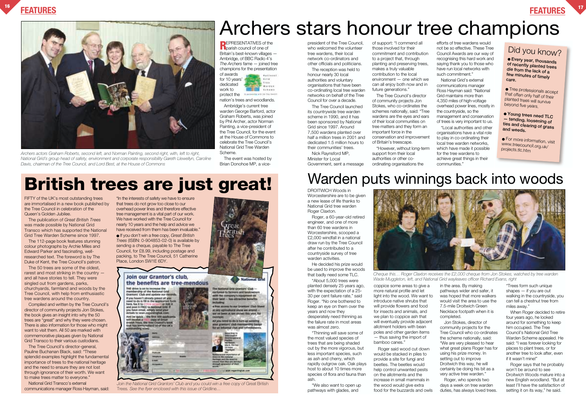### president of the Tree Council, who welcomed the volunteer tree wardens, their local network co-ordinators and other officials and politicians.

The reception was held to honour nearly 30 local authorities and voluntary organisations that have been co-ordinating local tree warden networks on behalf of the Tree Council for over a decade.

of support: "I commend all those involved for their commitment and contribution to a project that, through planting and preserving trees, makes a truly valuable contribution to the local environment — one which we can all enjoy both now and in future generations."

The Tree Council launched its countrywide tree warden scheme in 1990, and it has been sponsored by National Grid since 1997. Around 7,500 wardens planted over half a million trees in 2001 and dedicated 1.5 million hours to their communities' trees. Nick Raynsford MP,

Minister for Local Government, sent a message

DROITWICH Woods in Worcestershire are to be given a new lease of life thanks to National Grid tree warden Roger Claxton.

The Tree Council's director of community projects Jon Stokes, who co-ordinates the schemes nationally, said: "Tree wardens are the eyes and ears of their local communities on tree matters and they form an important force in the conservation and improvement of Britain's treescape.

"However, without long-term support from their local authorities or other coordinating organisations the

efforts of tree wardens would not be so effective. These Tree Council Awards are our way of recognising this hard work and saying thank you to those who have run local networks with such commitment."

National Grid's external communications manager Ross Hayman said: "National Grid maintains more than 4,350 miles of high-voltage overhead power lines, mostly in the countryside, so the management and conservation of trees is very important to us. "Local authorities and other organisations have a vital role to play in co-ordinating their local tree warden networks, which have made it possible for the tree wardens to achieve great things in their communities."

## **FEATURES <sup>16</sup> FEATURES <sup>17</sup>**

Roger, a 60-year-old retired engineer, and one of more than 60 tree wardens in Worcestershire, scooped a £2,000 windfall in a national draw run by the Tree Council after he contributed to a countryside survey of tree warden activities.

> Roger says that he probably won't be around to see Droitwich Woods mature into a new English woodland. "But at least I'll have the satisfaction of setting it on its way," he said.

He decided his prize would be used to improve the woods that badly need some TLC.

"About 5,000 trees were planted densely 25 years ago, with the expectation of a 25- 30 per cent failure rate," said Roger. "No one bothered to keep an eye on them over the years and now they desperately need thinning as the failure rate in most areas was almost zero.

"Thinning will save some of the most valued species of trees that are being shaded out by the more vigorous, but less important species, such as ash and cherry, which rapidly outgrow oak. Oak plays host to about 10 times more species of flora and fauna than ash.

"We also want to open up pathways with glades, and



coppice some areas to give a more natural profile and let light into the wood. We want to introduce native shrubs that will provide flowers and food for insects and animals, and we plan to coppice ash that will eventually provide adjacent allotment holders with bean poles and other garden items — thus saving the import of bamboo canes."

**REPRESENTATIVES** of the **n** parish council of one of Britain's best-known villages — Ambridge, of BBC Radio 4's *The Archers* fame — joined tree champions for the presentation of awards **MARIAMA** for 10 years'  $4 + 1 + 1$  $188$ dedicated **Warden** work to **SANAHA** protect the

> Roger said wood cut down would be stacked in piles to provide a site for fungi and beetles. The beetles would help control unwanted pests on the allotments and the increase in small mammals in the wood would give extra food for the buzzards and owls

in the area. By making pathways wider and safer, it was hoped that more walkers would visit the area to use the 7.5-mile Droitwich Green Necklace footpath when it is completed.

Jon Stokes, director of community projects for the Tree Council who co-ordinates the scheme nationally, said: "We are very pleased to hear what great plans Roger has for using his prize money. In setting out to improve Droitwich this way, he will certainly be doing his bit as a very active tree warden." Roger, who spends two

days a week on tree warden duties, has always loved trees.



Join the National Grid Grantors' Club and you could win a free copy of Great British Trees*. See the flyer enclosed with this issue of* Gridline*…*

"Trees form such unique shapes — if you are out walking in the countryside, you can tell a chestnut tree from miles away."

When Roger decided to retire four years ago, he looked around for something to keep him occupied. The Tree Council's National Grid Tree Warden Scheme appealed. He said: "I was forever looking for places to plant trees, or for another tree to look after, even if it wasn't mine!"

FIFTY of the UK's most outstanding trees are immortalised in a new book published by the Tree Council in celebration of the Queen's Golden Jubilee.

The publication of *Great British Trees* was made possible by National Grid Transco which has supported the National Grid Tree Warden Scheme since 1997.

The 112-page book features stunning colour photographs by Archie Miles and Edward Parker and fascinating, wellresearched text. The foreword is by The Duke of Kent, the Tree Council's patron.

The 50 trees are some of the oldest, rarest and most striking in the country and all have stories to tell. They were singled out from gardens, parks, churchyards, farmland and woods by the Tree Council, with help from enthusiastic tree wardens around the country.

Compiled and written by the Tree Council's director of community projects Jon Stokes, the book gives an insight into why the 50 trees are "great" and why they were chosen. There is also information for those who might want to visit them. All 50 are marked with commemorative plaques given by National Grid Transco to their various custodians.

The Tree Council's director-general, Pauline Buchanan Black, said: "These splendid examples highlight the fundamental importance of trees to the national heritage and the need to ensure they are not lost through ignorance of their worth. We want to make trees matter to everyone."

National Grid Transco's external communications manager Ross Hayman, said:

"In the interests of safety we have to ensure that trees do not grow too close to our overhead power lines and therefore effective tree management is a vital part of our work. We have worked with the Tree Council for nearly 10 years and the help and advice we have received from them has been invaluable." ● If you don't win a free copy, *Great British*

*Trees* (ISBN: 0-904853-02-0) is available by sending a cheque, payable to The Tree Council, for £8.99, including postage and packing, to The Tree Council, 51 Catherine Place, London SW1E 6DY.

nation's trees and woodlands. Ambridge's current tree warden George Barford, actor Graham Roberts, was joined by Phil Archer, actor Norman Painting, a vice-president of the Tree Council, for the event at the House of Commons to celebrate the Tree Council's National Grid Tree Warden Scheme.

The event was hosted by Brian Donohoe MP, a vice-

# **British trees are just great!**

### Did you know?

● **Every year, thousands of recently planted trees die from the lack of a few minutes of timely care.**

● Tree professionals accept that often only half of their planted trees will survive beyond five years.

● **Young trees need TLC — tending, loosening of ties and clearing of grass and weeds.**

● For more information, visit www.treecouncil.org.uk/ projects.tlc.htm



*Archers actors Graham Roberts, second left, and Norman Painting, second right, with, left to right, National Grid's group head of safety, environment and corporate responsibility Gareth Llewellyn, Caroline Davis, chairman of the Tree Council, and Lord Best, at the House of Commons*

*Cheque this… Roger Claxton receives the £2,000 cheque from Jon Stokes, watched by tree warden Wade Muggleton, left, and National Grid wayleaves officer Richard Evans, right*

# Warden puts winnings back into woods

# Archers stars honour tree champions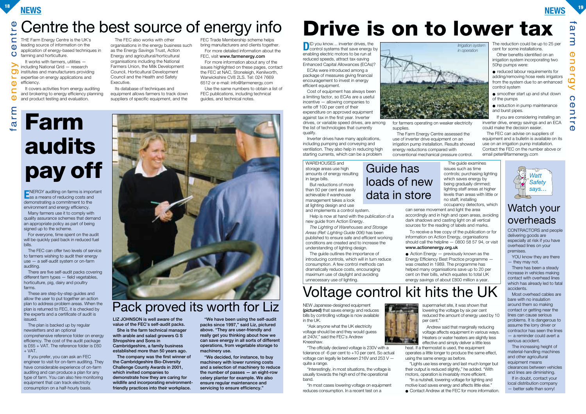## **NEWS <sup>18</sup> NEWS <sup>19</sup>**

CONTRACTORS and people delivering goods are especially at risk if you have overhead lines on your premises.

YOU know they are there — they may not.

There has been a steady increase in vehicles making contact with overhead lines which has already led to fatal accidents.

Most overhead cables are bare with no insulation around them so making contact or getting near the lines can cause serious problems. It is dangerous to assume the lorry driver or contractor has seen the lines — a reminder could avert a serious accident.

WAREHOUSES and storage areas use high amounts of energy resulting in large bills.

> The increasing height of material-handling machines and other agricultural equipment means clearances between vehicles and lines are diminishing.

If in doubt, contact your local distribution company — better safe than sorry!

The guide outlines the importance of introducing controls, which will in turn reduce consumption. A few control methods can dramatically reduce costs, encouraging maximum use of daylight and avoiding unnecessary use of lighting.

### Watch your overheads



The guide examines issues such as time controls; purchasing lighting which saves energy by being gradually dimmed; lighting staff areas at higher levels than areas with little or no staff; installing occupancy detectors, which

But reductions of more than 50 per cent are easily achievable if warehouse management takes a look at lighting design and use and implements a control system.

Help is now at hand with the publication of a

new guide from Action Energy.

 $\bullet$  Action Energy  $-$  previously known as the Energy Efficiency Best Practice programme was created in 1989. The programme has helped many organisations save up to 20 per cent on their bills, which equates to total UK energy savings of about £800 million a year.

*The Lighting of Warehouses and Storage Areas (Ref: Lighting Guide 006)* has been published to ensure safe and efficient working conditions are created and to increase the

**D**<sup>ID</sup> you know... inverter drives, the control systems that save energy by enabling electric motors to be run at reduced speeds, attract tax-saving Enhanced Capital Allowances (ECAs)?

understanding of lighting design.

● reduced labour requirements for adding/removing hose reels irrigators from the system due to an enhanced control system

● smoother start up and shut down of the pumps

can sense movement and light the area accordingly and in high and open areas, avoiding dark shadows and casting light on all vertical sources for the reading of labels and marks.

● reduction in pump maintenance and burst pipes.

To receive a free copy of the publication or for information on Action Energy, organisations should call the helpline  $-$  0800 58 57 94, or visit **www.actionenergy.org.uk**

ECAs were introduced among a package of measures giving financial encouragement to invest in energy efficient equipment.

Cost of equipment has always been a limiting factor, so ECAs are a useful incentive — allowing companies to write off 100 per cent of their expenditure on approved equipment against tax in the first year. Inverter drives, or variable speed drives, are among the list of technologies that currently qualify.

Inverter drives have many applications, including pumping and conveying and ventilation. They also help in reducing high starting currents, which can be a problem



supplies.

The Farm Energy Centre assessed the use of inverter drive equipment on an irrigation pump installation. Results showed energy reductions compared with conventional mechanical pressure control.



The reduction could be up to 25 per cent for some installations.

Other benefits identified on an irrigation system incorporating two 50hp pumps were:

The plan is backed up by regular newsletters and an optional comprehensive reference folder on energy efficiency. The cost of the audit package is £65 + VAT. The reference folder is £60  $+$  VAT.

If you are considering installing an inverter drive, energy savings and an ECA could make the decision easier.

The FEC can advise on suppliers of equipment and a bulletin is available on its use on an irrigation pump installation. Contact the FEC on the number above or email peter@farmenergy.com

NEW Japanese-designed equipment **(pictured)** that saves energy and reduces bills by controlling voltage is now available in the UK.

"Ask anyone what the UK electricity voltage should be and they would guess at 240V," said the FEC's Andrew Kneeshaw.

"The officially declared voltage is 230V with a tolerance of -6 per cent to +10 per cent. So actual voltage can legally lie between 216V and 253 V quite a range.

# arm **Farm audits pay off**

### Centre the best source of energy info **Drive is on to lower tax** tre

 $\mathbf C$ THE Farm Energy Centre is the UK's leading source of information on the  $\mathbf{d}$ application of energy-based techniques in  $\mathbf C$ farming and horticulture.

> "Interestingly, in most situations, the voltage is usually towards the high end of the operational band.

"In most cases lowering voltage on equipment reduces consumption. In a recent test on a



supermarket site, it was shown that lowering the voltage by six per cent reduced the amount of energy used by 10

per cent."

Andrew said that marginally reducing voltage affects equipment in various ways. Heaters or water heaters are slightly less effective and simply deliver a little less heat. If a thermostat is used, the equipment operates a little longer to produce the same effect, using the same energy as before.

"Lights use less energy and last much longer but their output is reduced slightly," he added. "With motors, operation is invariably more efficient. "In a nutshell, lowering voltage for lighting and motive load saves energy and affects little else."

● Contact Andrew at the FEC for more information.

It works with farmers, utilities —  $\bf{>}$ including National Grid — research <u>ත</u> institutes and manufacturers providing expertise on energy applications and  $\overline{\phantom{0}}$  $\mathbf{a}$ efficiency.

It covers activities from energy auditing  $\mathbf{\Omega}$ and brokering to energy efficiency planning  $\mathbf 0$ and product testing and evaluation.

The FEC also works with other organisations in the energy business such as the Energy Savings Trust, Action Energy and agricultural/horticultural organisations including the National Farmers Union, the Milk Development Council, Horticultural Development Council and the Health and Safety Executive.

Its database of techniques and equipment allows farmers to track down suppliers of specific equipment, and the

FEC Trade Membership scheme helps bring manufacturers and clients together. For more detailed information about the FEC, visit **www.farmenergy.com**

For more information about any of the issues highlighted on these pages, contact the FEC at NAC, Stoneleigh, Kenilworth, Warwickshire CV8 2LS. Tel: 024 7669 6512 or e-mail: info@farmenergy.com

Use the same numbers to obtain a list of FEC publications, including technical guides, and technical notes.

**E**NERGY auditing on farms is important as a means of reducing costs and demonstrating a commitment to the environment and energy efficiency.

Many farmers use it to comply with quality assurance schemes that demand an appropriate policy as part of being signed up to the scheme.

For everyone, time spent on the audit will be quickly paid back in reduced fuel bills.

The FEC can offer two levels of service to farmers wishing to audit their energy use — a self-audit system or on-farm auditing.

There are five self-audit packs covering different farm types — field vegetables, horticulture, pig, dairy and poultry farms.

These are step-by-step guides and allow the user to put together an action plan to address problem areas. When the plan is returned to FEC, it is checked by the experts and a certificate of audit is issued.

If you prefer, you can ask an FEC engineer to visit for on-farm auditing. They have considerable experience of on-farm auditing and can produce a plan for any type of farm. You can also hire monitoring equipment that can track electricity consumption on a half-hourly basis.



**LIZ JOHNSON is well aware of the value of the FEC's self-audit packs.**

**She is the farm technical manager with arable and salad growers G S Shropshire and Sons in Cambridgeshire, a family business established more than 50 years ago.**

**The company was the first winner of the Cambridgeshire Bio-Diversity Challenge County Awards in 2001, which invited companies to demonstrate how they are caring for wildlife and incorporating environmentfriendly practices into their workplace.**

**"We have been using the self-audit packs since 1997," said Liz, pictured above. "They are user-friendly and really get you thinking about how we can save energy in all sorts of different operations, from vegetable storage to machinery use.**

**"We decided, for instance, to buy machinery with lower running costs and a selection of machinery to reduce the number of passes — an eight-row celery planter for example. We also ensure regular maintenance and servicing to ensure efficiency."**

# Pack proved its worth for Liz

## Guide has loads of new data in store

# Voltage control kit hits the UK